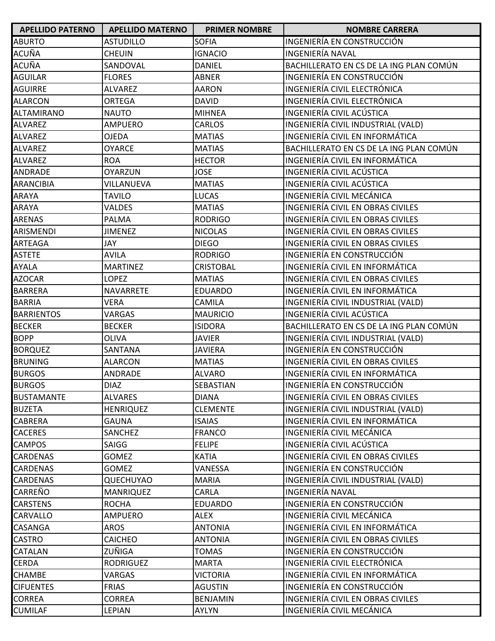| <b>APELLIDO PATERNO</b> | <b>APELLIDO MATERNO</b> | <b>PRIMER NOMBRE</b> | <b>NOMBRE CARRERA</b>                   |
|-------------------------|-------------------------|----------------------|-----------------------------------------|
| <b>ABURTO</b>           | <b>ASTUDILLO</b>        | <b>SOFIA</b>         | INGENIERÍA EN CONSTRUCCIÓN              |
| <b>ACUÑA</b>            | <b>CHEUIN</b>           | <b>IGNACIO</b>       | <b>INGENIERÍA NAVAL</b>                 |
| <b>ACUÑA</b>            | SANDOVAL                | <b>DANIEL</b>        | BACHILLERATO EN CS DE LA ING PLAN COMÚN |
| <b>AGUILAR</b>          | <b>FLORES</b>           | ABNER                | INGENIERÍA EN CONSTRUCCIÓN              |
| <b>AGUIRRE</b>          | <b>ALVAREZ</b>          | <b>AARON</b>         | INGENIERÍA CIVIL ELECTRÓNICA            |
| <b>ALARCON</b>          | <b>ORTEGA</b>           | <b>DAVID</b>         | INGENIERÍA CIVIL ELECTRÓNICA            |
| <b>ALTAMIRANO</b>       | <b>NAUTO</b>            | <b>MIHNEA</b>        | INGENIERÍA CIVIL ACÚSTICA               |
| <b>ALVAREZ</b>          | AMPUERO                 | <b>CARLOS</b>        | INGENIERÍA CIVIL INDUSTRIAL (VALD)      |
| <b>ALVAREZ</b>          | <b>OJEDA</b>            | <b>MATIAS</b>        | INGENIERÍA CIVIL EN INFORMÁTICA         |
| <b>ALVAREZ</b>          | <b>OYARCE</b>           | <b>MATIAS</b>        | BACHILLERATO EN CS DE LA ING PLAN COMÚN |
| <b>ALVAREZ</b>          | <b>ROA</b>              | <b>HECTOR</b>        | INGENIERÍA CIVIL EN INFORMÁTICA         |
| <b>ANDRADE</b>          | <b>OYARZUN</b>          | <b>JOSE</b>          | INGENIERÍA CIVIL ACÚSTICA               |
| <b>ARANCIBIA</b>        | VILLANUEVA              | <b>MATIAS</b>        | INGENIERÍA CIVIL ACÚSTICA               |
| <b>ARAYA</b>            | <b>TAVILO</b>           | <b>LUCAS</b>         | INGENIERÍA CIVIL MECÁNICA               |
| <b>ARAYA</b>            | <b>VALDES</b>           | <b>MATIAS</b>        | INGENIERÍA CIVIL EN OBRAS CIVILES       |
| <b>ARENAS</b>           | <b>PALMA</b>            | <b>RODRIGO</b>       | INGENIERÍA CIVIL EN OBRAS CIVILES       |
| ARISMENDI               | <b>JIMENEZ</b>          | <b>NICOLAS</b>       | INGENIERÍA CIVIL EN OBRAS CIVILES       |
| <b>ARTEAGA</b>          | JAY                     | <b>DIEGO</b>         | INGENIERÍA CIVIL EN OBRAS CIVILES       |
| <b>ASTETE</b>           | <b>AVILA</b>            | <b>RODRIGO</b>       | INGENIERÍA EN CONSTRUCCIÓN              |
| <b>AYALA</b>            | <b>MARTINEZ</b>         | <b>CRISTOBAL</b>     | INGENIERÍA CIVIL EN INFORMÁTICA         |
| <b>AZOCAR</b>           | <b>LOPEZ</b>            | <b>MATIAS</b>        | INGENIERÍA CIVIL EN OBRAS CIVILES       |
| <b>BARRERA</b>          | <b>NAVARRETE</b>        | <b>EDUARDO</b>       | INGENIERÍA CIVIL EN INFORMÁTICA         |
| <b>BARRIA</b>           | <b>VERA</b>             | CAMILA               | INGENIERÍA CIVIL INDUSTRIAL (VALD)      |
| <b>BARRIENTOS</b>       | VARGAS                  | <b>MAURICIO</b>      | INGENIERÍA CIVIL ACÚSTICA               |
| <b>BECKER</b>           | <b>BECKER</b>           | <b>ISIDORA</b>       | BACHILLERATO EN CS DE LA ING PLAN COMÚN |
| <b>BOPP</b>             | <b>OLIVA</b>            | <b>JAVIER</b>        | INGENIERÍA CIVIL INDUSTRIAL (VALD)      |
| <b>BORQUEZ</b>          | SANTANA                 | <b>JAVIERA</b>       | INGENIERÍA EN CONSTRUCCIÓN              |
| <b>BRUNING</b>          | <b>ALARCON</b>          | <b>MATIAS</b>        | INGENIERÍA CIVIL EN OBRAS CIVILES       |
| <b>BURGOS</b>           | ANDRADE                 | <b>ALVARO</b>        | INGENIERÍA CIVIL EN INFORMÁTICA         |
| <b>BURGOS</b>           | <b>DIAZ</b>             | <b>SEBASTIAN</b>     | INGENIERÍA EN CONSTRUCCIÓN              |
| <b>BUSTAMANTE</b>       | <b>ALVARES</b>          | <b>DIANA</b>         | INGENIERÍA CIVIL EN OBRAS CIVILES       |
| <b>BUZETA</b>           | <b>HENRIQUEZ</b>        | <b>CLEMENTE</b>      | INGENIERÍA CIVIL INDUSTRIAL (VALD)      |
| <b>CABRERA</b>          | <b>GAUNA</b>            | ISAIAS               | INGENIERÍA CIVIL EN INFORMÁTICA         |
| <b>CACERES</b>          | SANCHEZ                 | <b>FRANCO</b>        | INGENIERÍA CIVIL MECÁNICA               |
| <b>CAMPOS</b>           | SAIGG                   | <b>FELIPE</b>        | INGENIERÍA CIVIL ACÚSTICA               |
| <b>CARDENAS</b>         | <b>GOMEZ</b>            | <b>KATIA</b>         | INGENIERÍA CIVIL EN OBRAS CIVILES       |
| <b>CARDENAS</b>         | <b>GOMEZ</b>            | VANESSA              | INGENIERÍA EN CONSTRUCCIÓN              |
| <b>CARDENAS</b>         | <b>QUECHUYAO</b>        | MARIA                | INGENIERÍA CIVIL INDUSTRIAL (VALD)      |
| <b>CARREÑO</b>          | <b>MANRIQUEZ</b>        | CARLA                | <b>INGENIERÍA NAVAL</b>                 |
| <b>CARSTENS</b>         | <b>ROCHA</b>            | <b>EDUARDO</b>       | INGENIERÍA EN CONSTRUCCIÓN              |
| <b>CARVALLO</b>         | AMPUERO                 | <b>ALEX</b>          | INGENIERÍA CIVIL MECÁNICA               |
| <b>CASANGA</b>          | <b>AROS</b>             | <b>ANTONIA</b>       | INGENIERÍA CIVIL EN INFORMÁTICA         |
| <b>CASTRO</b>           | <b>CAICHEO</b>          | <b>ANTONIA</b>       | INGENIERÍA CIVIL EN OBRAS CIVILES       |
| <b>CATALAN</b>          | ZUÑIGA                  | <b>TOMAS</b>         | INGENIERÍA EN CONSTRUCCIÓN              |
| <b>CERDA</b>            | <b>RODRIGUEZ</b>        | <b>MARTA</b>         | INGENIERÍA CIVIL ELECTRÓNICA            |
| <b>CHAMBE</b>           | VARGAS                  | VICTORIA             | INGENIERÍA CIVIL EN INFORMÁTICA         |
| <b>CIFUENTES</b>        | <b>FRIAS</b>            | <b>AGUSTIN</b>       | INGENIERÍA EN CONSTRUCCIÓN              |
| <b>CORREA</b>           | <b>CORREA</b>           | <b>BENJAMIN</b>      | INGENIERÍA CIVIL EN OBRAS CIVILES       |
| <b>CUMILAF</b>          | LEPIAN                  | AYLYN                | INGENIERÍA CIVIL MECÁNICA               |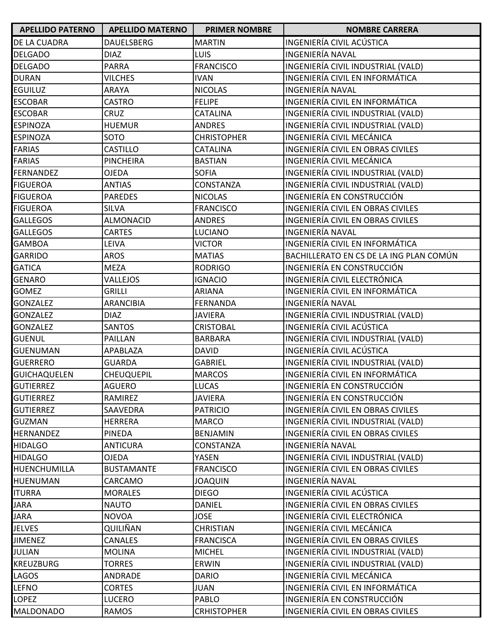| <b>APELLIDO PATERNO</b> | <b>APELLIDO MATERNO</b> | <b>PRIMER NOMBRE</b> | <b>NOMBRE CARRERA</b>                   |
|-------------------------|-------------------------|----------------------|-----------------------------------------|
| DE LA CUADRA            | <b>DAUELSBERG</b>       | <b>MARTIN</b>        | INGENIERÍA CIVIL ACÚSTICA               |
| <b>DELGADO</b>          | <b>DIAZ</b>             | <b>LUIS</b>          | INGENIERÍA NAVAL                        |
| <b>DELGADO</b>          | <b>PARRA</b>            | <b>FRANCISCO</b>     | INGENIERÍA CIVIL INDUSTRIAL (VALD)      |
| <b>DURAN</b>            | <b>VILCHES</b>          | <b>IVAN</b>          | INGENIERÍA CIVIL EN INFORMÁTICA         |
| <b>EGUILUZ</b>          | ARAYA                   | <b>NICOLAS</b>       | INGENIERÍA NAVAL                        |
| <b>ESCOBAR</b>          | <b>CASTRO</b>           | <b>FELIPE</b>        | INGENIERÍA CIVIL EN INFORMÁTICA         |
| <b>ESCOBAR</b>          | CRUZ                    | <b>CATALINA</b>      | INGENIERÍA CIVIL INDUSTRIAL (VALD)      |
| <b>ESPINOZA</b>         | <b>HUEMUR</b>           | <b>ANDRES</b>        | INGENIERÍA CIVIL INDUSTRIAL (VALD)      |
| <b>ESPINOZA</b>         | SOTO                    | <b>CHRISTOPHER</b>   | INGENIERÍA CIVIL MECÁNICA               |
| <b>FARIAS</b>           | CASTILLO                | <b>CATALINA</b>      | INGENIERÍA CIVIL EN OBRAS CIVILES       |
| <b>FARIAS</b>           | <b>PINCHEIRA</b>        | <b>BASTIAN</b>       | INGENIERÍA CIVIL MECÁNICA               |
| <b>FERNANDEZ</b>        | <b>OJEDA</b>            | <b>SOFIA</b>         | INGENIERÍA CIVIL INDUSTRIAL (VALD)      |
| <b>FIGUEROA</b>         | <b>ANTIAS</b>           | CONSTANZA            | INGENIERÍA CIVIL INDUSTRIAL (VALD)      |
| <b>FIGUEROA</b>         | <b>PAREDES</b>          | <b>NICOLAS</b>       | INGENIERÍA EN CONSTRUCCIÓN              |
| <b>FIGUEROA</b>         | <b>SILVA</b>            | <b>FRANCISCO</b>     | INGENIERÍA CIVIL EN OBRAS CIVILES       |
| <b>GALLEGOS</b>         | <b>ALMONACID</b>        | <b>ANDRES</b>        | INGENIERÍA CIVIL EN OBRAS CIVILES       |
| <b>GALLEGOS</b>         | <b>CARTES</b>           | LUCIANO              | <b>INGENIERÍA NAVAL</b>                 |
| <b>GAMBOA</b>           | LEIVA                   | <b>VICTOR</b>        | INGENIERÍA CIVIL EN INFORMÁTICA         |
| <b>GARRIDO</b>          | <b>AROS</b>             | <b>MATIAS</b>        | BACHILLERATO EN CS DE LA ING PLAN COMÚN |
| <b>GATICA</b>           | <b>MEZA</b>             | <b>RODRIGO</b>       | INGENIERÍA EN CONSTRUCCIÓN              |
| <b>GENARO</b>           | VALLEJOS                | <b>IGNACIO</b>       | INGENIERÍA CIVIL ELECTRÓNICA            |
| <b>GOMEZ</b>            | <b>GRILLI</b>           | <b>ARIANA</b>        | INGENIERÍA CIVIL EN INFORMÁTICA         |
| <b>GONZALEZ</b>         | <b>ARANCIBIA</b>        | <b>FERNANDA</b>      | <b>INGENIERÍA NAVAL</b>                 |
| <b>GONZALEZ</b>         | <b>DIAZ</b>             | <b>JAVIERA</b>       | INGENIERÍA CIVIL INDUSTRIAL (VALD)      |
| <b>GONZALEZ</b>         | <b>SANTOS</b>           | <b>CRISTOBAL</b>     | INGENIERÍA CIVIL ACÚSTICA               |
| <b>GUENUL</b>           | PAILLAN                 | <b>BARBARA</b>       | INGENIERÍA CIVIL INDUSTRIAL (VALD)      |
| <b>GUENUMAN</b>         | APABLAZA                | <b>DAVID</b>         | INGENIERÍA CIVIL ACÚSTICA               |
| <b>GUERRERO</b>         | <b>GUARDA</b>           | <b>GABRIEL</b>       | INGENIERÍA CIVIL INDUSTRIAL (VALD)      |
| <b>GUICHAQUELEN</b>     | <b>CHEUQUEPIL</b>       | <b>MARCOS</b>        | INGENIERÍA CIVIL EN INFORMÁTICA         |
| <b>GUTIERREZ</b>        | <b>AGUERO</b>           | LUCAS                | INGENIERÍA EN CONSTRUCCIÓN              |
| <b>GUTIERREZ</b>        | RAMIREZ                 | <b>JAVIERA</b>       | INGENIERÍA EN CONSTRUCCIÓN              |
| <b>GUTIERREZ</b>        | SAAVEDRA                | <b>PATRICIO</b>      | INGENIERÍA CIVIL EN OBRAS CIVILES       |
| <b>GUZMAN</b>           | <b>HERRERA</b>          | <b>MARCO</b>         | INGENIERÍA CIVIL INDUSTRIAL (VALD)      |
| <b>HERNANDEZ</b>        | PINEDA                  | <b>BENJAMIN</b>      | INGENIERÍA CIVIL EN OBRAS CIVILES       |
| <b>HIDALGO</b>          | <b>ANTICURA</b>         | CONSTANZA            | INGENIERÍA NAVAL                        |
| <b>HIDALGO</b>          | <b>OJEDA</b>            | YASEN                | INGENIERÍA CIVIL INDUSTRIAL (VALD)      |
| HUENCHUMILLA            | <b>BUSTAMANTE</b>       | <b>FRANCISCO</b>     | INGENIERÍA CIVIL EN OBRAS CIVILES       |
| <b>HUENUMAN</b>         | CARCAMO                 | <b>JOAQUIN</b>       | <b>INGENIERÍA NAVAL</b>                 |
| <b>ITURRA</b>           | <b>MORALES</b>          | <b>DIEGO</b>         | INGENIERÍA CIVIL ACÚSTICA               |
| <b>JARA</b>             | <b>NAUTO</b>            | DANIEL               | INGENIERÍA CIVIL EN OBRAS CIVILES       |
| <b>JARA</b>             | <b>NOVOA</b>            | <b>JOSE</b>          | INGENIERÍA CIVIL ELECTRÓNICA            |
| <b>JELVES</b>           | QUILIÑAN                | <b>CHRISTIAN</b>     | INGENIERÍA CIVIL MECÁNICA               |
| <b>JIMENEZ</b>          | <b>CANALES</b>          | <b>FRANCISCA</b>     | INGENIERÍA CIVIL EN OBRAS CIVILES       |
| <b>JULIAN</b>           | <b>MOLINA</b>           | <b>MICHEL</b>        | INGENIERÍA CIVIL INDUSTRIAL (VALD)      |
| <b>KREUZBURG</b>        | <b>TORRES</b>           | <b>ERWIN</b>         | INGENIERÍA CIVIL INDUSTRIAL (VALD)      |
| LAGOS                   | ANDRADE                 | <b>DARIO</b>         | INGENIERÍA CIVIL MECÁNICA               |
| <b>LEFNO</b>            | <b>CORTES</b>           | <b>JUAN</b>          | INGENIERÍA CIVIL EN INFORMÁTICA         |
| <b>LOPEZ</b>            | <b>LUCERO</b>           | <b>PABLO</b>         | INGENIERÍA EN CONSTRUCCIÓN              |
| <b>MALDONADO</b>        | RAMOS                   | <b>CRHISTOPHER</b>   | INGENIERÍA CIVIL EN OBRAS CIVILES       |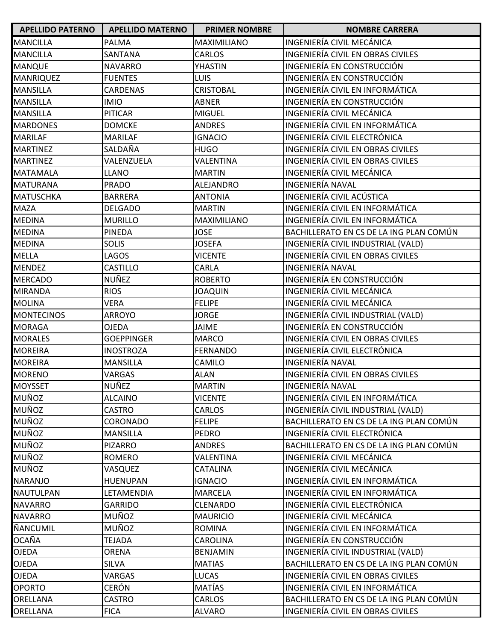| <b>APELLIDO PATERNO</b> | <b>APELLIDO MATERNO</b> | <b>PRIMER NOMBRE</b> | <b>NOMBRE CARRERA</b>                   |
|-------------------------|-------------------------|----------------------|-----------------------------------------|
| <b>MANCILLA</b>         | PALMA                   | <b>MAXIMILIANO</b>   | INGENIERÍA CIVIL MECÁNICA               |
| <b>MANCILLA</b>         | SANTANA                 | <b>CARLOS</b>        | INGENIERÍA CIVIL EN OBRAS CIVILES       |
| <b>MANQUE</b>           | <b>NAVARRO</b>          | YHASTIN              | INGENIERÍA EN CONSTRUCCIÓN              |
| <b>MANRIQUEZ</b>        | <b>FUENTES</b>          | <b>LUIS</b>          | INGENIERÍA EN CONSTRUCCIÓN              |
| <b>MANSILLA</b>         | <b>CARDENAS</b>         | <b>CRISTOBAL</b>     | INGENIERÍA CIVIL EN INFORMÁTICA         |
| <b>MANSILLA</b>         | <b>IMIO</b>             | ABNER                | INGENIERÍA EN CONSTRUCCIÓN              |
| <b>MANSILLA</b>         | <b>PITICAR</b>          | <b>MIGUEL</b>        | INGENIERÍA CIVIL MECÁNICA               |
| <b>MARDONES</b>         | <b>DOMCKE</b>           | <b>ANDRES</b>        | INGENIERÍA CIVIL EN INFORMÁTICA         |
| <b>MARILAF</b>          | <b>MARILAF</b>          | <b>IGNACIO</b>       | INGENIERÍA CIVIL ELECTRÓNICA            |
| <b>MARTINEZ</b>         | SALDAÑA                 | <b>HUGO</b>          | INGENIERÍA CIVIL EN OBRAS CIVILES       |
| <b>MARTINEZ</b>         | VALENZUELA              | VALENTINA            | INGENIERÍA CIVIL EN OBRAS CIVILES       |
| <b>MATAMALA</b>         | <b>LLANO</b>            | <b>MARTIN</b>        | INGENIERÍA CIVIL MECÁNICA               |
| <b>MATURANA</b>         | <b>PRADO</b>            | ALEJANDRO            | INGENIERÍA NAVAL                        |
| <b>MATUSCHKA</b>        | <b>BARRERA</b>          | <b>ANTONIA</b>       | INGENIERÍA CIVIL ACÚSTICA               |
| <b>MAZA</b>             | <b>DELGADO</b>          | <b>MARTIN</b>        | INGENIERÍA CIVIL EN INFORMÁTICA         |
| <b>MEDINA</b>           | <b>MURILLO</b>          | <b>MAXIMILIANO</b>   | INGENIERÍA CIVIL EN INFORMÁTICA         |
| <b>MEDINA</b>           | PINEDA                  | <b>JOSE</b>          | BACHILLERATO EN CS DE LA ING PLAN COMÚN |
| <b>MEDINA</b>           | <b>SOLIS</b>            | <b>JOSEFA</b>        | INGENIERÍA CIVIL INDUSTRIAL (VALD)      |
| <b>MELLA</b>            | LAGOS                   | <b>VICENTE</b>       | INGENIERÍA CIVIL EN OBRAS CIVILES       |
| <b>MENDEZ</b>           | <b>CASTILLO</b>         | CARLA                | INGENIERÍA NAVAL                        |
| <b>MERCADO</b>          | NUÑEZ                   | <b>ROBERTO</b>       | INGENIERÍA EN CONSTRUCCIÓN              |
| <b>MIRANDA</b>          | <b>RIOS</b>             | <b>JOAQUIN</b>       | INGENIERÍA CIVIL MECÁNICA               |
| <b>MOLINA</b>           | <b>VERA</b>             | <b>FELIPE</b>        | INGENIERÍA CIVIL MECÁNICA               |
| <b>MONTECINOS</b>       | <b>ARROYO</b>           | <b>JORGE</b>         | INGENIERÍA CIVIL INDUSTRIAL (VALD)      |
| <b>MORAGA</b>           | <b>OJEDA</b>            | <b>JAIME</b>         | INGENIERÍA EN CONSTRUCCIÓN              |
| <b>MORALES</b>          | <b>GOEPPINGER</b>       | <b>MARCO</b>         | INGENIERÍA CIVIL EN OBRAS CIVILES       |
| <b>MOREIRA</b>          | <b>INOSTROZA</b>        | <b>FERNANDO</b>      | INGENIERÍA CIVIL ELECTRÓNICA            |
| <b>MOREIRA</b>          | <b>MANSILLA</b>         | CAMILO               | INGENIERÍA NAVAL                        |
| <b>MORENO</b>           | VARGAS                  | <b>ALAN</b>          | INGENIERÍA CIVIL EN OBRAS CIVILES       |
| <b>MOYSSET</b>          | NUÑEZ                   | <b>MARTIN</b>        | <b>INGENIERÍA NAVAL</b>                 |
| MUÑOZ                   | <b>ALCAINO</b>          | <b>VICENTE</b>       | INGENIERÍA CIVIL EN INFORMÁTICA         |
| MUÑOZ                   | <b>CASTRO</b>           | CARLOS               | INGENIERÍA CIVIL INDUSTRIAL (VALD)      |
| MUÑOZ                   | CORONADO                | <b>FELIPE</b>        | BACHILLERATO EN CS DE LA ING PLAN COMÚN |
| <b>MUÑOZ</b>            | <b>MANSILLA</b>         | <b>PEDRO</b>         | INGENIERÍA CIVIL ELECTRÓNICA            |
| <b>MUÑOZ</b>            | <b>PIZARRO</b>          | <b>ANDRES</b>        | BACHILLERATO EN CS DE LA ING PLAN COMÚN |
| <b>MUÑOZ</b>            | <b>ROMERO</b>           | VALENTINA            | INGENIERÍA CIVIL MECÁNICA               |
| <b>MUÑOZ</b>            | VASQUEZ                 | <b>CATALINA</b>      | INGENIERÍA CIVIL MECÁNICA               |
| <b>NARANJO</b>          | <b>HUENUPAN</b>         | <b>IGNACIO</b>       | INGENIERÍA CIVIL EN INFORMÁTICA         |
| <b>NAUTULPAN</b>        | LETAMENDIA              | <b>MARCELA</b>       | INGENIERÍA CIVIL EN INFORMÁTICA         |
| <b>NAVARRO</b>          | <b>GARRIDO</b>          | <b>CLENARDO</b>      | INGENIERÍA CIVIL ELECTRÓNICA            |
| <b>NAVARRO</b>          | MUÑOZ                   | <b>MAURICIO</b>      | INGENIERÍA CIVIL MECÁNICA               |
| <b>ÑANCUMIL</b>         | MUÑOZ                   | <b>ROMINA</b>        | INGENIERÍA CIVIL EN INFORMÁTICA         |
| <b>OCAÑA</b>            | <b>TEJADA</b>           | CAROLINA             | INGENIERÍA EN CONSTRUCCIÓN              |
| <b>OJEDA</b>            | <b>ORENA</b>            | <b>BENJAMIN</b>      | INGENIERÍA CIVIL INDUSTRIAL (VALD)      |
| <b>OJEDA</b>            | <b>SILVA</b>            | <b>MATIAS</b>        | BACHILLERATO EN CS DE LA ING PLAN COMÚN |
| <b>OJEDA</b>            | <b>VARGAS</b>           | <b>LUCAS</b>         | INGENIERÍA CIVIL EN OBRAS CIVILES       |
| <b>OPORTO</b>           | CERÓN                   | MATÍAS               | INGENIERÍA CIVIL EN INFORMÁTICA         |
| <b>ORELLANA</b>         | <b>CASTRO</b>           | CARLOS               | BACHILLERATO EN CS DE LA ING PLAN COMÚN |
| <b>ORELLANA</b>         | <b>FICA</b>             | <b>ALVARO</b>        | INGENIERÍA CIVIL EN OBRAS CIVILES       |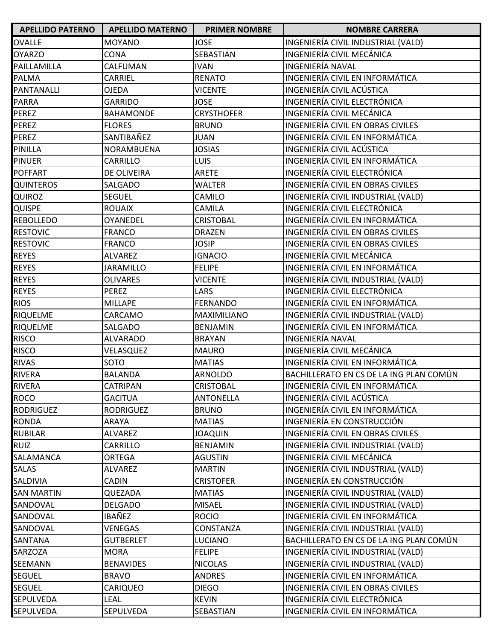| <b>APELLIDO PATERNO</b> | <b>APELLIDO MATERNO</b> | <b>PRIMER NOMBRE</b> | <b>NOMBRE CARRERA</b>                   |
|-------------------------|-------------------------|----------------------|-----------------------------------------|
| <b>OVALLE</b>           | <b>MOYANO</b>           | <b>JOSE</b>          | INGENIERÍA CIVIL INDUSTRIAL (VALD)      |
| <b>OYARZO</b>           | <b>CONA</b>             | SEBASTIAN            | INGENIERÍA CIVIL MECÁNICA               |
| PAILLAMILLA             | CALFUMAN                | <b>IVAN</b>          | INGENIERÍA NAVAL                        |
| <b>PALMA</b>            | CARRIEL                 | <b>RENATO</b>        | INGENIERÍA CIVIL EN INFORMÁTICA         |
| PANTANALLI              | <b>OJEDA</b>            | <b>VICENTE</b>       | INGENIERÍA CIVIL ACÚSTICA               |
| <b>PARRA</b>            | <b>GARRIDO</b>          | <b>JOSE</b>          | INGENIERÍA CIVIL ELECTRÓNICA            |
| <b>PEREZ</b>            | <b>BAHAMONDE</b>        | <b>CRYSTHOFER</b>    | INGENIERÍA CIVIL MECÁNICA               |
| <b>PEREZ</b>            | <b>FLORES</b>           | <b>BRUNO</b>         | INGENIERÍA CIVIL EN OBRAS CIVILES       |
| <b>PEREZ</b>            | SANTIBAÑEZ              | <b>JUAN</b>          | INGENIERÍA CIVIL EN INFORMÁTICA         |
| <b>PINILLA</b>          | NORAMBUENA              | <b>JOSIAS</b>        | INGENIERÍA CIVIL ACÚSTICA               |
| <b>PINUER</b>           | CARRILLO                | <b>LUIS</b>          | INGENIERÍA CIVIL EN INFORMÁTICA         |
| <b>POFFART</b>          | DE OLIVEIRA             | <b>ARETE</b>         | INGENIERÍA CIVIL ELECTRÓNICA            |
| <b>QUINTEROS</b>        | SALGADO                 | <b>WALTER</b>        | INGENIERÍA CIVIL EN OBRAS CIVILES       |
| QUIROZ                  | <b>SEGUEL</b>           | CAMILO               | INGENIERÍA CIVIL INDUSTRIAL (VALD)      |
| <b>QUISPE</b>           | <b>ROUAIX</b>           | <b>CAMILA</b>        | INGENIERÍA CIVIL ELECTRÓNICA            |
| <b>REBOLLEDO</b>        | OYANEDEL                | <b>CRISTOBAL</b>     | INGENIERÍA CIVIL EN INFORMÁTICA         |
| <b>RESTOVIC</b>         | <b>FRANCO</b>           | <b>DRAZEN</b>        | INGENIERÍA CIVIL EN OBRAS CIVILES       |
| <b>RESTOVIC</b>         | <b>FRANCO</b>           | <b>JOSIP</b>         | INGENIERÍA CIVIL EN OBRAS CIVILES       |
| <b>REYES</b>            | <b>ALVAREZ</b>          | <b>IGNACIO</b>       | INGENIERÍA CIVIL MECÁNICA               |
| <b>REYES</b>            | <b>JARAMILLO</b>        | <b>FELIPE</b>        | INGENIERÍA CIVIL EN INFORMÁTICA         |
| <b>REYES</b>            | <b>OLIVARES</b>         | <b>VICENTE</b>       | INGENIERÍA CIVIL INDUSTRIAL (VALD)      |
| <b>REYES</b>            | <b>PEREZ</b>            | LARS                 | INGENIERÍA CIVIL ELECTRÓNICA            |
| <b>RIOS</b>             | <b>MILLAPE</b>          | <b>FERNANDO</b>      | INGENIERÍA CIVIL EN INFORMÁTICA         |
| <b>RIQUELME</b>         | CARCAMO                 | <b>MAXIMILIANO</b>   | INGENIERÍA CIVIL INDUSTRIAL (VALD)      |
| <b>RIQUELME</b>         | SALGADO                 | <b>BENJAMIN</b>      | INGENIERÍA CIVIL EN INFORMÁTICA         |
| <b>RISCO</b>            | <b>ALVARADO</b>         | <b>BRAYAN</b>        | INGENIERÍA NAVAL                        |
| <b>RISCO</b>            | VELASQUEZ               | <b>MAURO</b>         | INGENIERÍA CIVIL MECÁNICA               |
| <b>RIVAS</b>            | SOTO                    | <b>MATIAS</b>        | INGENIERÍA CIVIL EN INFORMÁTICA         |
| <b>RIVERA</b>           | <b>BALANDA</b>          | <b>ARNOLDO</b>       | BACHILLERATO EN CS DE LA ING PLAN COMÚN |
| <b>RIVERA</b>           | CATRIPAN                | <b>CRISTOBAL</b>     | INGENIERÍA CIVIL EN INFORMÁTICA         |
| <b>ROCO</b>             | <b>GACITUA</b>          | <b>ANTONELLA</b>     | INGENIERÍA CIVIL ACÚSTICA               |
| <b>RODRIGUEZ</b>        | <b>RODRIGUEZ</b>        | <b>BRUNO</b>         | INGENIERÍA CIVIL EN INFORMÁTICA         |
| <b>RONDA</b>            | ARAYA                   | <b>MATIAS</b>        | INGENIERÍA EN CONSTRUCCIÓN              |
| <b>RUBILAR</b>          | <b>ALVAREZ</b>          | <b>JOAQUIN</b>       | INGENIERÍA CIVIL EN OBRAS CIVILES       |
| <b>RUIZ</b>             | CARRILLO                | <b>BENJAMIN</b>      | INGENIERÍA CIVIL INDUSTRIAL (VALD)      |
| SALAMANCA               | <b>ORTEGA</b>           | <b>AGUSTIN</b>       | INGENIERÍA CIVIL MECÁNICA               |
| <b>SALAS</b>            | <b>ALVAREZ</b>          | <b>MARTIN</b>        | INGENIERÍA CIVIL INDUSTRIAL (VALD)      |
| SALDIVIA                | <b>CADIN</b>            | <b>CRISTOFER</b>     | INGENIERÍA EN CONSTRUCCIÓN              |
| <b>SAN MARTIN</b>       | QUEZADA                 | <b>MATIAS</b>        | INGENIERÍA CIVIL INDUSTRIAL (VALD)      |
| SANDOVAL                | DELGADO                 | <b>MISAEL</b>        | INGENIERÍA CIVIL INDUSTRIAL (VALD)      |
| SANDOVAL                | IBAÑEZ                  | <b>ROCIO</b>         | INGENIERÍA CIVIL EN INFORMÁTICA         |
| SANDOVAL                | VENEGAS                 | CONSTANZA            | INGENIERÍA CIVIL INDUSTRIAL (VALD)      |
| <b>SANTANA</b>          | <b>GUTBERLET</b>        | LUCIANO              | BACHILLERATO EN CS DE LA ING PLAN COMÚN |
| <b>SARZOZA</b>          | <b>MORA</b>             | <b>FELIPE</b>        | INGENIERÍA CIVIL INDUSTRIAL (VALD)      |
| SEEMANN                 | <b>BENAVIDES</b>        | <b>NICOLAS</b>       | INGENIERÍA CIVIL INDUSTRIAL (VALD)      |
| <b>SEGUEL</b>           | <b>BRAVO</b>            | <b>ANDRES</b>        | INGENIERÍA CIVIL EN INFORMÁTICA         |
| <b>SEGUEL</b>           | <b>CARIQUEO</b>         | <b>DIEGO</b>         | INGENIERÍA CIVIL EN OBRAS CIVILES       |
| <b>SEPULVEDA</b>        | <b>LEAL</b>             | <b>KEVIN</b>         | INGENIERÍA CIVIL ELECTRÓNICA            |
| SEPULVEDA               | <b>SEPULVEDA</b>        | SEBASTIAN            | INGENIERÍA CIVIL EN INFORMÁTICA         |